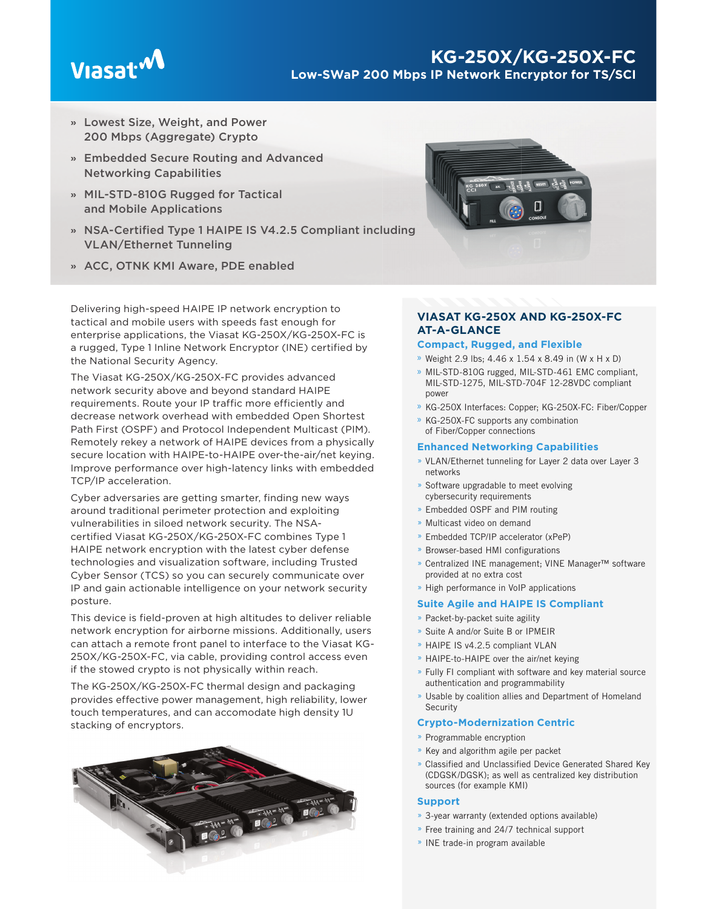# Viasat<sup>.M</sup>

# **KG-250X/KG-250X-FC Low-SWaP 200 Mbps IP Network Encryptor for TS/SCI**

- **»** Lowest Size, Weight, and Power 200 Mbps (Aggregate) Crypto
- **»** Embedded Secure Routing and Advanced Networking Capabilities
- **»** MIL-STD-810G Rugged for Tactical and Mobile Applications
- » NSA-Certified Type 1 HAIPE IS V4.2.5 Compliant including VLAN/Ethernet Tunneling
- **»** ACC, OTNK KMI Aware, PDE enabled

Delivering high-speed HAIPE IP network encryption to tactical and mobile users with speeds fast enough for enterprise applications, the Viasat KG-250X/KG-250X-FC is a rugged, Type 1 Inline Network Encryptor (INE) certified by the National Security Agency.

The Viasat KG-250X/KG-250X-FC provides advanced network security above and beyond standard HAIPE requirements. Route your IP traffic more efficiently and decrease network overhead with embedded Open Shortest Path First (OSPF) and Protocol Independent Multicast (PIM). Remotely rekey a network of HAIPE devices from a physically secure location with HAIPE-to-HAIPE over-the-air/net keying. Improve performance over high-latency links with embedded TCP/IP acceleration.

Cyber adversaries are getting smarter, finding new ways around traditional perimeter protection and exploiting vulnerabilities in siloed network security. The NSAcertified Viasat KG-250X/KG-250X-FC combines Type 1 HAIPE network encryption with the latest cyber defense technologies and visualization software, including Trusted Cyber Sensor (TCS) so you can securely communicate over IP and gain actionable intelligence on your network security posture.

This device is field-proven at high altitudes to deliver reliable network encryption for airborne missions. Additionally, users can attach a remote front panel to interface to the Viasat KG-250X/KG-250X-FC, via cable, providing control access even if the stowed crypto is not physically within reach.

The KG-250X/KG-250X-FC thermal design and packaging provides effective power management, high reliability, lower touch temperatures, and can accomodate high density 1U stacking of encryptors.





# **VIASAT KG-250X AND KG-250X-FC AT-A-GLANCE**

# **Compact, Rugged, and Flexible**

- » Weight 2.9 lbs; 4.46 x 1.54 x 8.49 in (W x H x D)
- » MIL-STD-810G rugged, MIL-STD-461 EMC compliant, MIL-STD-1275, MIL-STD-704F 12-28VDC compliant power
- » KG-250X Interfaces: Copper; KG-250X-FC: Fiber/Copper
- » KG-250X-FC supports any combination of Fiber/Copper connections

# **Enhanced Networking Capabilities**

- » VLAN/Ethernet tunneling for Layer 2 data over Layer 3 networks
- » Software upgradable to meet evolving cybersecurity requirements
- » Embedded OSPF and PIM routing
- » Multicast video on demand
- » Embedded TCP/IP accelerator (xPeP)
- » Browser-based HMI configurations
- » Centralized INE management; VINE Manager™ software provided at no extra cost
- » High performance in VoIP applications

# **Suite Agile and HAIPE IS Compliant**

- » Packet-by-packet suite agility
- » Suite A and/or Suite B or IPMEIR
- » HAIPE IS v4.2.5 compliant VLAN
- » HAIPE-to-HAIPE over the air/net keying
- » Fully FI compliant with software and key material source authentication and programmability
- » Usable by coalition allies and Department of Homeland **Security**

# **Crypto-Modernization Centric**

- » Programmable encryption
- » Key and algorithm agile per packet
- » Classified and Unclassified Device Generated Shared Key (CDGSK/DGSK); as well as centralized key distribution sources (for example KMI)

# **Support**

- » 3-year warranty (extended options available)
- » Free training and 24/7 technical support
- » INE trade-in program available